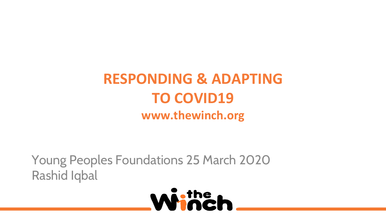# **RESPONDING & ADAPTING TO COVID19 www.thewinch.org**

Young Peoples Foundations 25 March 2020 Rashid Iqbal

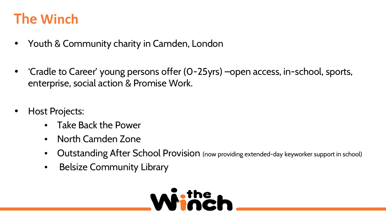## **The Winch**

- Youth & Community charity in Camden, London
- 'Cradle to Career' young persons offer (0-25yrs) –open access, in-school, sports, enterprise, social action & Promise Work.
- Host Projects:
	- Take Back the Power
	- North Camden Zone
	- Outstanding After School Provision (now providing extended-day keyworker support in school)
	- Belsize Community Library

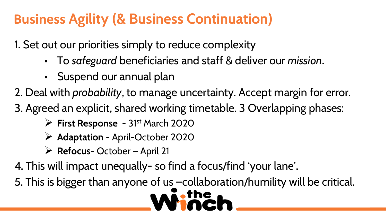# **Business Agility (& Business Continuation)**

1. Set out our priorities simply to reduce complexity

- To *safeguard* beneficiaries and staff & deliver our *mission*.
- Suspend our annual plan

2. Deal with *probability*, to manage uncertainty. Accept margin for error.

3. Agreed an explicit, shared working timetable. 3 Overlapping phases:

- **First Response**  31st March 2020
- **Adaptation** April-October 2020
- **Refocus** October April 21

4. This will impact unequally- so find a focus/find 'your lane'.

5. This is bigger than anyone of us –collaboration/humility will be critical.

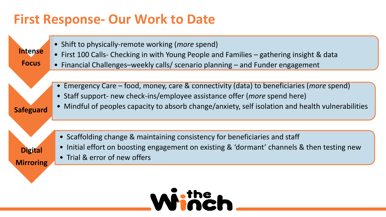#### **First Response- Our Work to Date**

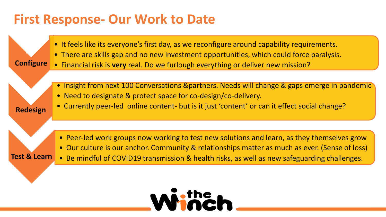#### **First Response- Our Work to Date**

**Re-**

**Redesign**

- It feels like its everyone's first day, as we reconfigure around capability requirements.
- There are skills gap and no new investment opportunities, which could force paralysis.
- **Configure** • Financial risk is **very** real. Do we furlough everything or deliver new mission?
	- Insight from next 100 Conversations &partners. Needs will change & gaps emerge in pandemic
	- Need to designate & protect space for co-design/co-delivery.
	- Currently peer-led online content- but is it just 'content' or can it effect social change?

- Peer-led work groups now working to test new solutions and learn, as they themselves grow
- Our culture is our anchor. Community & relationships matter as much as ever. (Sense of loss)
- **Test & Learn** • Be mindful of COVID19 transmission & health risks, as well as new safeguarding challenges.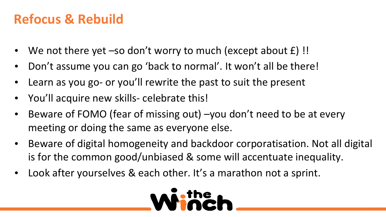### **Refocus & Rebuild**

- We not there yet –so don't worry to much (except about  $f$ ) !!
- Don't assume you can go 'back to normal'. It won't all be there!
- Learn as you go- or you'll rewrite the past to suit the present
- You'll acquire new skills- celebrate this!
- Beware of FOMO (fear of missing out) –you don't need to be at every meeting or doing the same as everyone else.
- Beware of digital homogeneity and backdoor corporatisation. Not all digital is for the common good/unbiased & some will accentuate inequality.
- Look after yourselves & each other. It's a marathon not a sprint.